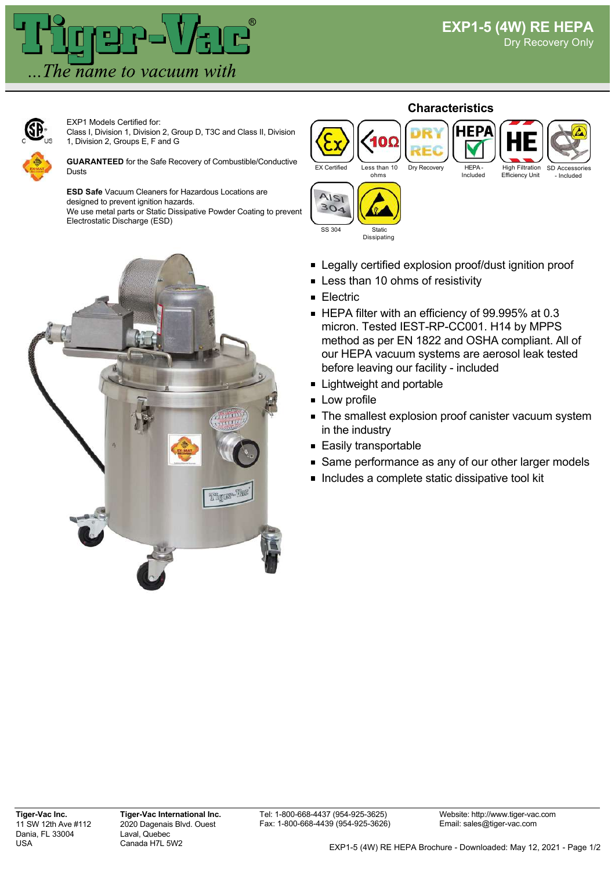

EXP1 Models Certified for: Class I, Division 1, Division 2, Group D, T3C and Class II, Division 1, Division 2, Groups E, F and G

**GUARANTEED** for the Safe Recovery of Combustible/Conductive Dusts

**ESD Safe** Vacuum Cleaners for Hazardous Locations are designed to prevent ignition hazards. We use metal parts or Static Dissipative Powder Coating to prevent Electrostatic Discharge (ESD)



## **Characteristics**

EX Certified Less than 10



Included





⋒

Legally certified explosion proof/dust ignition proof

- **Example 10 Less than 10 ohms of resistivity**
- **Electric**
- HEPA filter with an efficiency of 99.995% at 0.3 micron. Tested IEST-RP-CC001. H14 by MPPS method as per EN 1822 and OSHA compliant. All of our HEPA vacuum systems are aerosol leak tested before leaving our facility - included
- **Lightweight and portable**
- **Low profile**
- The smallest explosion proof canister vacuum system in the industry
- Easily transportable
- Same performance as any of our other larger models
- Includes a complete static dissipative tool kit